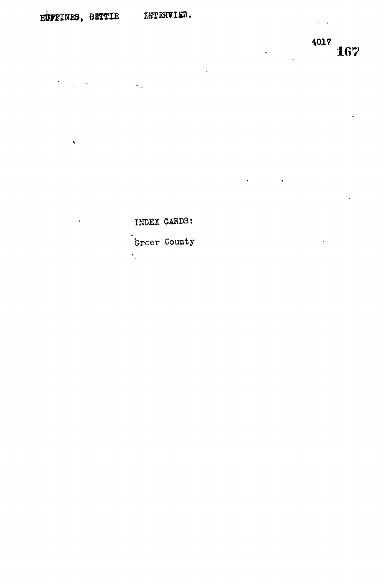$\frac{1}{2} \sum_{i=1}^n \frac{1}{2} \sum_{j=1}^n \frac{1}{2} \sum_{j=1}^n \frac{1}{2} \sum_{j=1}^n \frac{1}{2} \sum_{j=1}^n \frac{1}{2} \sum_{j=1}^n \frac{1}{2} \sum_{j=1}^n \frac{1}{2} \sum_{j=1}^n \frac{1}{2} \sum_{j=1}^n \frac{1}{2} \sum_{j=1}^n \frac{1}{2} \sum_{j=1}^n \frac{1}{2} \sum_{j=1}^n \frac{1}{2} \sum_{j=1}^n \frac{1}{2} \sum_{j=$ 

 $\pmb{\hat{x}}$ 

 $\sim$   $\sim$ 

 $\frac{4017}{167}$ 

 $\sim$   $\sim$ 

 $\ddot{\phantom{a}}$ 

 $\hat{\mathbf{r}}$ 

 $\ddot{\phantom{0}}$ 

INDEX CARDS:

Greer County

 $\epsilon_{\rm{eff}}$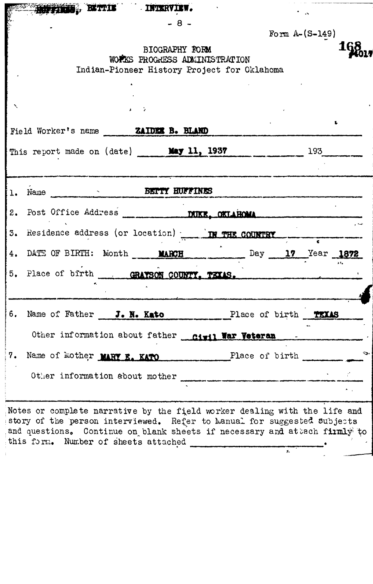|    |                                      | TIMES, BITTIE INTERVIEW.                                                                                                                                                                                                          |                |                  |  |
|----|--------------------------------------|-----------------------------------------------------------------------------------------------------------------------------------------------------------------------------------------------------------------------------------|----------------|------------------|--|
|    |                                      | $-8-$                                                                                                                                                                                                                             |                |                  |  |
|    |                                      |                                                                                                                                                                                                                                   |                | Form $A-(S-149)$ |  |
|    |                                      | BIOGRAPHY FORM<br>WOFINS PROGRESS ADMINISTRATION                                                                                                                                                                                  |                |                  |  |
|    |                                      | Indian-Pioneer History Project for Oklahoma                                                                                                                                                                                       |                |                  |  |
|    |                                      |                                                                                                                                                                                                                                   |                |                  |  |
|    |                                      |                                                                                                                                                                                                                                   |                |                  |  |
|    |                                      |                                                                                                                                                                                                                                   |                |                  |  |
|    |                                      | Field Worker's name <b>ZAIDER B. BLAND</b>                                                                                                                                                                                        |                |                  |  |
|    |                                      | This report made on (date) May 11, 1937 1937                                                                                                                                                                                      |                |                  |  |
|    |                                      |                                                                                                                                                                                                                                   |                |                  |  |
|    |                                      | 1. Name BETTY HUFFINES                                                                                                                                                                                                            |                |                  |  |
|    |                                      |                                                                                                                                                                                                                                   |                |                  |  |
|    |                                      | 3. Residence address (or location) <b>IN THE COUNTRY</b>                                                                                                                                                                          |                |                  |  |
|    |                                      | 4. DATE OF BIRTH: Month ____ MARCH Day 17 Year 1872                                                                                                                                                                               |                |                  |  |
|    |                                      | 5. Place of birth GRAYSON COUNTY. TIXES.                                                                                                                                                                                          |                |                  |  |
|    |                                      |                                                                                                                                                                                                                                   |                |                  |  |
| 6. | Name of Father J. N. Kato            |                                                                                                                                                                                                                                   | Place of birth | TEXAS            |  |
|    |                                      | Other information about father civil War Veteran                                                                                                                                                                                  |                |                  |  |
|    |                                      | 7. Name of Mother MARY E. KATO Place of birth                                                                                                                                                                                     |                |                  |  |
|    |                                      | Other information about mother                                                                                                                                                                                                    |                |                  |  |
|    |                                      |                                                                                                                                                                                                                                   |                |                  |  |
|    |                                      | Notes or complete narrative by the field worker dealing with the life and<br>story of the person interviewed. Refer to Manual for suggested subjects<br>and questions. Continue on blank sheets if necessary and attach firmly to |                |                  |  |
|    | this form. Number of sheets attached |                                                                                                                                                                                                                                   |                |                  |  |

 $\overline{K}$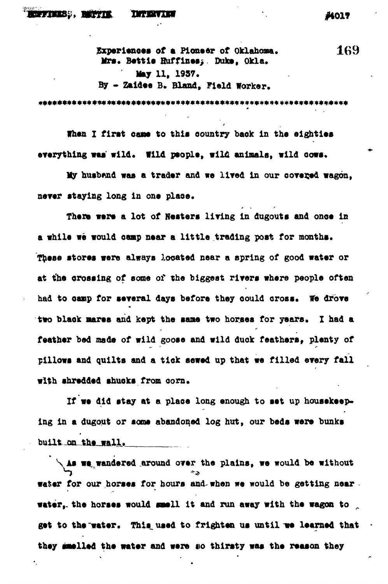## S:Si *wens,* **nranraw -. #toi?**

**Experiences of a Pioneer of Oklahoma.** 169 Mrs. Bettie Huffines; Duke, Okla. **May 11, 1937. By \* Zaidee B. Bland, Field Worker.**

**When I first came to this country back in the eighties everything was wild. Wild people, wilfi animals, wild cows.**

My husband was a trader and we lived in our covered wagon, **never staying long in one plaoe.**

**There were a lot of Hesters living in dugouts and ones in a while we would camp near a little trading post for months. These stores were always located near a spring of good water or at the crossing of some of the biggest rivers where people often had to oanp for several days before they could cross. We drove** two black mares and kept the same two horses for years. I had a **feather bed made of wild goose and wild duck feathers, plenty of pillows and quilts and a tick sewed up that we filled every fall with shredded shuoks froa corn.**

**If we did stay at a plaoe long enough to set up housekeeping in a dugout or seas abandoned log hut, our beds were bunks** built on the wall.

**As we, wandered .around over the plains, we would be without** water for our horses for hours and when we would be getting near. **water, the horses would smell it and run away with the wagon to get to the "water. Thls\_used to frighten us until we learned that** they smelled the water and were so thirsty was the reason they